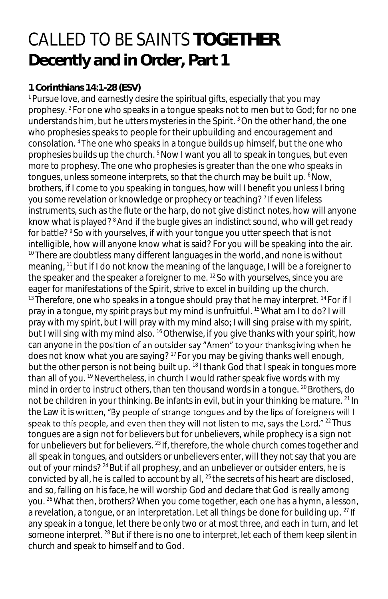## CALLED TO BE SAINTS **TOGETHER Decently and in Order, Part 1**

## **1 Corinthians 14:1-28 (ESV)**

<sup>1</sup> Pursue love, and earnestly desire the spiritual gifts, especially that you may prophesy. <sup>2</sup>For one who speaks in a tongue speaks not to men but to God; for no one understands him, but he utters mysteries in the Spirit. <sup>3</sup>On the other hand, the one who prophesies speaks to people for their upbuilding and encouragement and consolation. <sup>4</sup>The one who speaks in a tongue builds up himself, but the one who prophesies builds up the church. <sup>5</sup> Now I want you all to speak in tongues, but even more to prophesy. The one who prophesies is greater than the one who speaks in tongues, unless someone interprets, so that the church may be built up. <sup>6</sup>Now, brothers, if I come to you speaking in tongues, how will I benefit you unless I bring you some revelation or knowledge or prophecy or teaching? <sup>7</sup> If even lifeless instruments, such as the flute or the harp, do not give distinct notes, how will anyone know what is played?<sup>8</sup> And if the bugle gives an indistinct sound, who will get ready for battle? <sup>9</sup>So with yourselves, if with your tongue you utter speech that is not intelligible, how will anyone know what is said? For you will be speaking into the air. <sup>10</sup> There are doubtless many different languages in the world, and none is without meaning, <sup>11</sup> but if I do not know the meaning of the language, I will be a foreigner to the speaker and the speaker a foreigner to me. <sup>12</sup>So with yourselves, since you are eager for manifestations of the Spirit, strive to excel in building up the church.  $13$  Therefore, one who speaks in a tongue should pray that he may interpret.  $14$  For if I pray in a tongue, my spirit prays but my mind is unfruitful. <sup>15</sup>What am I to do? I will pray with my spirit, but I will pray with my mind also; I will sing praise with my spirit, but I will sing with my mind also. <sup>16</sup> Otherwise, if you give thanks with your spirit, how can anyone in the position of an outsider say "Amen" to your thanksgiving when he does not know what you are saying? <sup>17</sup> For you may be giving thanks well enough, but the other person is not being built up. <sup>18</sup>I thank God that I speak in tongues more than all of you.<sup>19</sup> Nevertheless, in church I would rather speak five words with my mind in order to instruct others, than ten thousand words in a tonque. <sup>20</sup> Brothers, do not be children in your thinking. Be infants in evil, but in your thinking be mature. <sup>21</sup> In the Law it is written, "By people of strange tongues and by the lips of foreigners will I speak to this people, and even then they will not listen to me, says the Lord." <sup>22</sup> Thus tongues are a sign not for believers but for unbelievers, while prophecy is a sign not for unbelievers but for believers.  $23$  If, therefore, the whole church comes together and all speak in tongues, and outsiders or unbelievers enter, will they not say that you are out of your minds?<sup>24</sup> But if all prophesy, and an unbeliever or outsider enters, he is convicted by all, he is called to account by all, <sup>25</sup> the secrets of his heart are disclosed, and so, falling on his face, he will worship God and declare that God is really among you. <sup>26</sup> What then, brothers? When you come together, each one has a hymn, a lesson, a revelation, a tongue, or an interpretation. Let all things be done for building up. <sup>27</sup> If any speak in a tongue, let there be only two or at most three, and each in turn, and let someone interpret. <sup>28</sup> But if there is no one to interpret, let each of them keep silent in church and speak to himself and to God.